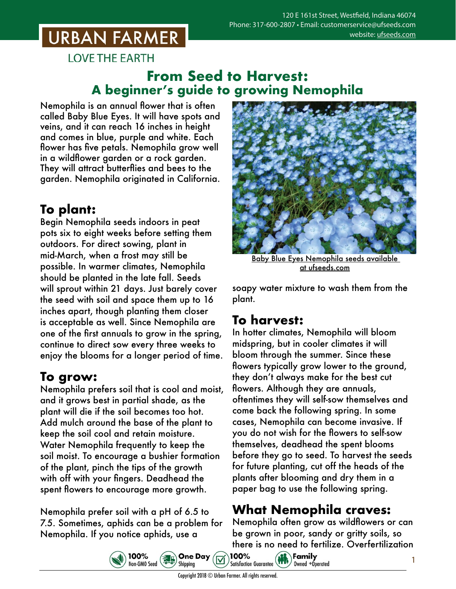# **URBAN FARMER**

**LOVE THE EARTH** 

### **From Seed to Harvest: A beginner's guide to growing Nemophila**

Nemophila is an annual flower that is often called Baby Blue Eyes. It will have spots and veins, and it can reach 16 inches in height and comes in blue, purple and white. Each flower has five petals. Nemophila grow well in a wildflower garden or a rock garden. They will attract butterflies and bees to the garden. Nemophila originated in California.

# **To plant:**

Begin Nemophila seeds indoors in peat pots six to eight weeks before setting them outdoors. For direct sowing, plant in mid-March, when a frost may still be possible. In warmer climates, Nemophila should be planted in the late fall. Seeds will sprout within 21 days. Just barely cover the seed with soil and space them up to 16 inches apart, though planting them closer is acceptable as well. Since Nemophila are one of the first annuals to grow in the spring, continue to direct sow every three weeks to enjoy the blooms for a longer period of time.

## **To grow:**

Nemophila prefers soil that is cool and moist, and it grows best in partial shade, as the plant will die if the soil becomes too hot. Add mulch around the base of the plant to keep the soil cool and retain moisture. Water Nemophila frequently to keep the soil moist. To encourage a bushier formation of the plant, pinch the tips of the growth with off with your fingers. Deadhead the spent flowers to encourage more growth.

Nemophila prefer soil with a pH of 6.5 to 7.5. Sometimes, aphids can be a problem for Nemophila. If you notice aphids, use a



Baby Blue Eyes Nemophila seeds [available](https://www.ufseeds.com/product-category/flowers/nemophila-flowers/)  [at ufseeds.com](https://www.ufseeds.com/product-category/flowers/nemophila-flowers/)

soapy water mixture to wash them from the plant.

#### **To harvest:**

In hotter climates, Nemophila will bloom midspring, but in cooler climates it will bloom through the summer. Since these flowers typically grow lower to the ground, they don't always make for the best cut flowers. Although they are annuals, oftentimes they will self-sow themselves and come back the following spring. In some cases, Nemophila can become invasive. If you do not wish for the flowers to self-sow themselves, deadhead the spent blooms before they go to seed. To harvest the seeds for future planting, cut off the heads of the plants after blooming and dry them in a paper bag to use the following spring.

## **What Nemophila craves:**

Nemophila often grow as wildflowers or can be grown in poor, sandy or gritty soils, so there is no need to fertilize. Overfertilization





100%

**One Day** 

Shipping

 $\left(\frac{1}{6}g\right)$